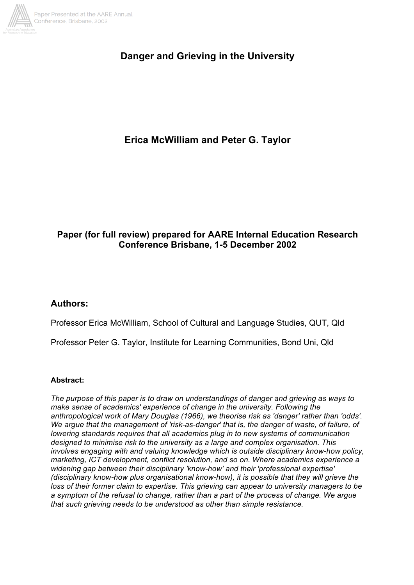

# **Danger and Grieving in the University**

# **Erica McWilliam and Peter G. Taylor**

## **Paper (for full review) prepared for AARE Internal Education Research Conference Brisbane, 1-5 December 2002**

## **Authors:**

Professor Erica McWilliam, School of Cultural and Language Studies, QUT, Qld

Professor Peter G. Taylor, Institute for Learning Communities, Bond Uni, Qld

## **Abstract:**

*The purpose of this paper is to draw on understandings of danger and grieving as ways to make sense of academics' experience of change in the university. Following the anthropological work of Mary Douglas (1966), we theorise risk as 'danger' rather than 'odds'. We argue that the management of 'risk-as-danger' that is, the danger of waste, of failure, of lowering standards requires that all academics plug in to new systems of communication designed to minimise risk to the university as a large and complex organisation. This involves engaging with and valuing knowledge which is outside disciplinary know-how policy, marketing, ICT development, conflict resolution, and so on. Where academics experience a widening gap between their disciplinary 'know-how' and their 'professional expertise' (disciplinary know-how plus organisational know-how), it is possible that they will grieve the loss of their former claim to expertise. This grieving can appear to university managers to be a symptom of the refusal to change, rather than a part of the process of change. We argue that such grieving needs to be understood as other than simple resistance.*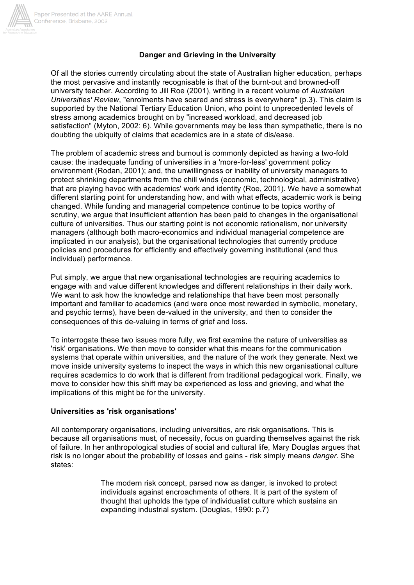

## **Danger and Grieving in the University**

Of all the stories currently circulating about the state of Australian higher education, perhaps the most pervasive and instantly recognisable is that of the burnt-out and browned-off university teacher. According to Jill Roe (2001), writing in a recent volume of *Australian Universities' Review*, "enrolments have soared and stress is everywhere" (p.3). This claim is supported by the National Tertiary Education Union, who point to unprecedented levels of stress among academics brought on by "increased workload, and decreased job satisfaction" (Myton, 2002: 6). While governments may be less than sympathetic, there is no doubting the ubiquity of claims that academics are in a state of dis/ease.

The problem of academic stress and burnout is commonly depicted as having a two-fold cause: the inadequate funding of universities in a 'more-for-less' government policy environment (Rodan, 2001); and, the unwillingness or inability of university managers to protect shrinking departments from the chill winds (economic, technological, administrative) that are playing havoc with academics' work and identity (Roe, 2001). We have a somewhat different starting point for understanding how, and with what effects, academic work is being changed. While funding and managerial competence continue to be topics worthy of scrutiny, we argue that insufficient attention has been paid to changes in the organisational culture of universities. Thus our starting point is not economic rationalism, nor university managers (although both macro-economics and individual managerial competence are implicated in our analysis), but the organisational technologies that currently produce policies and procedures for efficiently and effectively governing institutional (and thus individual) performance.

Put simply, we argue that new organisational technologies are requiring academics to engage with and value different knowledges and different relationships in their daily work. We want to ask how the knowledge and relationships that have been most personally important and familiar to academics (and were once most rewarded in symbolic, monetary, and psychic terms), have been de-valued in the university, and then to consider the consequences of this de-valuing in terms of grief and loss.

To interrogate these two issues more fully, we first examine the nature of universities as 'risk' organisations. We then move to consider what this means for the communication systems that operate within universities, and the nature of the work they generate. Next we move inside university systems to inspect the ways in which this new organisational culture requires academics to do work that is different from traditional pedagogical work. Finally, we move to consider how this shift may be experienced as loss and grieving, and what the implications of this might be for the university.

#### **Universities as 'risk organisations'**

All contemporary organisations, including universities, are risk organisations. This is because all organisations must, of necessity, focus on guarding themselves against the risk of failure. In her anthropological studies of social and cultural life, Mary Douglas argues that risk is no longer about the probability of losses and gains - risk simply means *danger*. She states:

> The modern risk concept, parsed now as danger, is invoked to protect individuals against encroachments of others. It is part of the system of thought that upholds the type of individualist culture which sustains an expanding industrial system. (Douglas, 1990: p.7)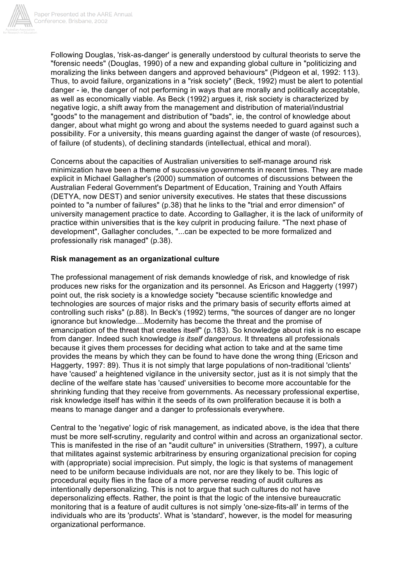

Following Douglas, 'risk-as-danger' is generally understood by cultural theorists to serve the "forensic needs" (Douglas, 1990) of a new and expanding global culture in "politicizing and moralizing the links between dangers and approved behaviours" (Pidgeon et al, 1992: 113). Thus, to avoid failure, organizations in a "risk society" (Beck, 1992) must be alert to potential danger - ie, the danger of not performing in ways that are morally and politically acceptable, as well as economically viable. As Beck (1992) argues it, risk society is characterized by negative logic, a shift away from the management and distribution of material/industrial "goods" to the management and distribution of "bads", ie, the control of knowledge about danger, about what might go wrong and about the systems needed to guard against such a possibility. For a university, this means guarding against the danger of waste (of resources), of failure (of students), of declining standards (intellectual, ethical and moral).

Concerns about the capacities of Australian universities to self-manage around risk minimization have been a theme of successive governments in recent times. They are made explicit in Michael Gallagher's (2000) summation of outcomes of discussions between the Australian Federal Government's Department of Education, Training and Youth Affairs (DETYA, now DEST) and senior university executives. He states that these discussions pointed to "a number of failures" (p.38) that he links to the "trial and error dimension" of university management practice to date. According to Gallagher, it is the lack of uniformity of practice within universities that is the key culprit in producing failure. "The next phase of development", Gallagher concludes, "...can be expected to be more formalized and professionally risk managed" (p.38).

## **Risk management as an organizational culture**

The professional management of risk demands knowledge of risk, and knowledge of risk produces new risks for the organization and its personnel. As Ericson and Haggerty (1997) point out, the risk society is a knowledge society "because scientific knowledge and technologies are sources of major risks and the primary basis of security efforts aimed at controlling such risks" (p.88). In Beck's (1992) terms, "the sources of danger are no longer ignorance but knowledge....Modernity has become the threat and the promise of emancipation of the threat that creates itself" (p.183). So knowledge about risk is no escape from danger. Indeed such knowledge *is itself dangerous*. It threatens all professionals because it gives them processes for deciding what action to take and at the same time provides the means by which they can be found to have done the wrong thing (Ericson and Haggerty, 1997: 89). Thus it is not simply that large populations of non-traditional 'clients' have 'caused' a heightened vigilance in the university sector, just as it is not simply that the decline of the welfare state has 'caused' universities to become more accountable for the shrinking funding that they receive from governments. As necessary professional expertise, risk knowledge itself has within it the seeds of its own proliferation because it is both a means to manage danger and a danger to professionals everywhere.

Central to the 'negative' logic of risk management, as indicated above, is the idea that there must be more self-scrutiny, regularity and control within and across an organizational sector. This is manifested in the rise of an "audit culture" in universities (Strathern, 1997), a culture that militates against systemic arbitrariness by ensuring organizational precision for coping with (appropriate) social imprecision. Put simply, the logic is that systems of management need to be uniform because individuals are not, nor are they likely to be. This logic of procedural equity flies in the face of a more perverse reading of audit cultures as intentionally depersonalizing. This is not to argue that such cultures do not have depersonalizing effects. Rather, the point is that the logic of the intensive bureaucratic monitoring that is a feature of audit cultures is not simply 'one-size-fits-all' in terms of the individuals who are its 'products'. What is 'standard', however, is the model for measuring organizational performance.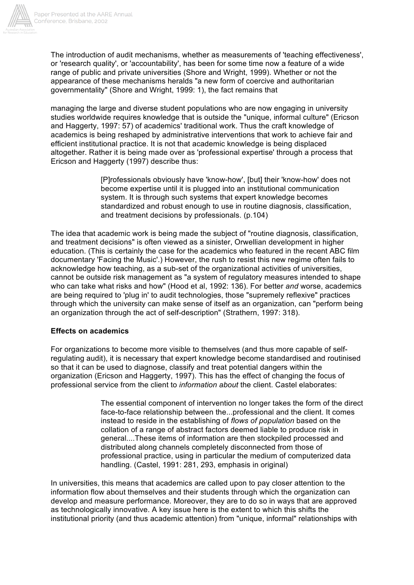

The introduction of audit mechanisms, whether as measurements of 'teaching effectiveness', or 'research quality', or 'accountability', has been for some time now a feature of a wide range of public and private universities (Shore and Wright, 1999). Whether or not the appearance of these mechanisms heralds "a new form of coercive and authoritarian governmentality" (Shore and Wright, 1999: 1), the fact remains that

managing the large and diverse student populations who are now engaging in university studies worldwide requires knowledge that is outside the "unique, informal culture" (Ericson and Haggerty, 1997: 57) of academics' traditional work. Thus the craft knowledge of academics is being reshaped by administrative interventions that work to achieve fair and efficient institutional practice. It is not that academic knowledge is being displaced altogether. Rather it is being made over as 'professional expertise' through a process that Ericson and Haggerty (1997) describe thus:

> [P]rofessionals obviously have 'know-how', [but] their 'know-how' does not become expertise until it is plugged into an institutional communication system. It is through such systems that expert knowledge becomes standardized and robust enough to use in routine diagnosis, classification, and treatment decisions by professionals. (p.104)

The idea that academic work is being made the subject of "routine diagnosis, classification, and treatment decisions" is often viewed as a sinister, Orwellian development in higher education. (This is certainly the case for the academics who featured in the recent ABC film documentary 'Facing the Music'.) However, the rush to resist this new regime often fails to acknowledge how teaching, as a sub-set of the organizational activities of universities, cannot be outside risk management as "a system of regulatory measures intended to shape who can take what risks and how" (Hood et al, 1992: 136). For better *and* worse, academics are being required to 'plug in' to audit technologies, those "supremely reflexive" practices through which the university can make sense of itself as an organization, can "perform being an organization through the act of self-description" (Strathern, 1997: 318).

## **Effects on academics**

For organizations to become more visible to themselves (and thus more capable of selfregulating audit), it is necessary that expert knowledge become standardised and routinised so that it can be used to diagnose, classify and treat potential dangers within the organization (Ericson and Haggerty, 1997). This has the effect of changing the focus of professional service from the client to *information about* the client. Castel elaborates:

> The essential component of intervention no longer takes the form of the direct face-to-face relationship between the...professional and the client. It comes instead to reside in the establishing of *flows of population* based on the collation of a range of abstract factors deemed liable to produce risk in general....These items of information are then stockpiled processed and distributed along channels completely disconnected from those of professional practice, using in particular the medium of computerized data handling. (Castel, 1991: 281, 293, emphasis in original)

In universities, this means that academics are called upon to pay closer attention to the information flow about themselves and their students through which the organization can develop and measure performance. Moreover, they are to do so in ways that are approved as technologically innovative. A key issue here is the extent to which this shifts the institutional priority (and thus academic attention) from "unique, informal" relationships with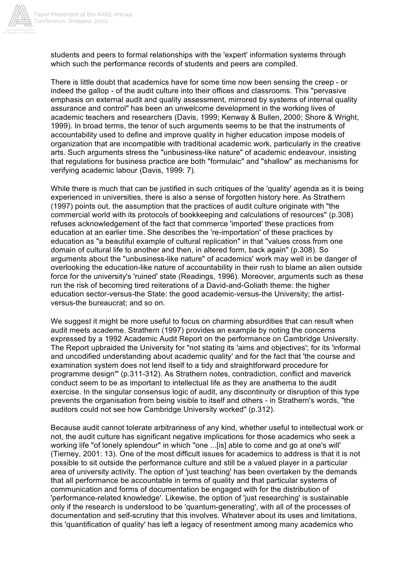

students and peers to formal relationships with the 'expert' information systems through which such the performance records of students and peers are compiled.

There is little doubt that academics have for some time now been sensing the creep - or indeed the gallop - of the audit culture into their offices and classrooms. This "pervasive emphasis on external audit and quality assessment, mirrored by systems of internal quality assurance and control" has been an unwelcome development in the working lives of academic teachers and researchers (Davis, 1999; Kenway & Bullen, 2000; Shore & Wright, 1999). In broad terms, the tenor of such arguments seems to be that the instruments of accountability used to define and improve quality in higher education impose models of organization that are incompatible with traditional academic work, particularly in the creative arts. Such arguments stress the "unbusiness-like nature" of academic endeavour, insisting that regulations for business practice are both "formulaic" and "shallow" as mechanisms for verifying academic labour (Davis, 1999: 7).

While there is much that can be justified in such critiques of the 'quality' agenda as it is being experienced in universities, there is also a sense of forgotten history here. As Strathern (1997) points out, the assumption that the practices of audit culture originate with "the commercial world with its protocols of bookkeeping and calculations of resources" (p.308) refuses acknowledgement of the fact that commerce 'imported' these practices from education at an earlier time. She describes the 're-importation' of these practices by education as "a beautiful example of cultural replication" in that "values cross from one domain of cultural life to another and then, in altered form, back again" (p.308). So arguments about the "unbusiness-like nature" of academics' work may well in be danger of overlooking the education-like nature of accountability in their rush to blame an alien outside force for the university's 'ruined' state (Readings, 1996). Moreover, arguments such as these run the risk of becoming tired reiterations of a David-and-Goliath theme: the higher education sector-versus-the State: the good academic-versus-the University; the artistversus-the bureaucrat; and so on.

We suggest it might be more useful to focus on charming absurdities that can result when audit meets academe. Strathern (1997) provides an example by noting the concerns expressed by a 1992 Academic Audit Report on the performance on Cambridge University. The Report upbraided the University for "not stating its 'aims and objectives'; for its 'informal and uncodified understanding about academic quality' and for the fact that 'the course and examination system does not lend itself to a tidy and straightforward procedure for programme design'" (p.311-312). As Strathern notes, contradiction, conflict and maverick conduct seem to be as important to intellectual life as they are anathema to the audit exercise. In the singular consensus logic of audit, any discontinuity or disruption of this type prevents the organisation from being visible to itself and others - in Strathern's words, "the auditors could not see how Cambridge University worked" (p.312).

Because audit cannot tolerate arbitrariness of any kind, whether useful to intellectual work or not, the audit culture has significant negative implications for those academics who seek a working life "of lonely splendour" in which "one ...[is] able to come and go at one's will' (Tierney, 2001: 13). One of the most difficult issues for academics to address is that it is not possible to sit outside the performance culture and still be a valued player in a particular area of university activity. The option of 'just teaching' has been overtaken by the demands that all performance be accountable in terms of quality and that particular systems of communication and forms of documentation be engaged with for the distribution of 'performance-related knowledge'. Likewise, the option of 'just researching' is sustainable only if the research is understood to be 'quantum-generating', with all of the processes of documentation and self-scrutiny that this involves. Whatever about its uses and limitations, this 'quantification of quality' has left a legacy of resentment among many academics who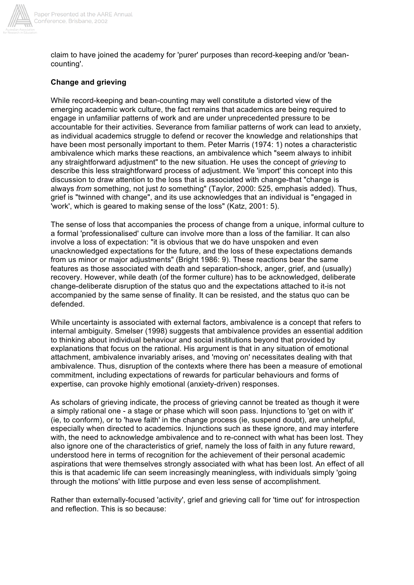

claim to have joined the academy for 'purer' purposes than record-keeping and/or 'beancounting'.

## **Change and grieving**

While record-keeping and bean-counting may well constitute a distorted view of the emerging academic work culture, the fact remains that academics are being required to engage in unfamiliar patterns of work and are under unprecedented pressure to be accountable for their activities. Severance from familiar patterns of work can lead to anxiety, as individual academics struggle to defend or recover the knowledge and relationships that have been most personally important to them. Peter Marris (1974: 1) notes a characteristic ambivalence which marks these reactions, an ambivalence which "seem always to inhibit any straightforward adjustment" to the new situation. He uses the concept of *grieving* to describe this less straightforward process of adjustment. We 'import' this concept into this discussion to draw attention to the loss that is associated with change-that "change is always *from* something, not just *to* something" (Taylor, 2000: 525, emphasis added). Thus, grief is "twinned with change", and its use acknowledges that an individual is "engaged in 'work', which is geared to making sense of the loss" (Katz, 2001: 5).

The sense of loss that accompanies the process of change from a unique, informal culture to a formal 'professionalised' culture can involve more than a loss of the familiar. It can also involve a loss of expectation: "it is obvious that we do have unspoken and even unacknowledged expectations for the future, and the loss of these expectations demands from us minor or major adjustments" (Bright 1986: 9). These reactions bear the same features as those associated with death and separation-shock, anger, grief, and (usually) recovery. However, while death (of the former culture) has to be acknowledged, deliberate change-deliberate disruption of the status quo and the expectations attached to it-is not accompanied by the same sense of finality. It can be resisted, and the status quo can be defended.

While uncertainty is associated with external factors, ambivalence is a concept that refers to internal ambiguity. Smelser (1998) suggests that ambivalence provides an essential addition to thinking about individual behaviour and social institutions beyond that provided by explanations that focus on the rational. His argument is that in any situation of emotional attachment, ambivalence invariably arises, and 'moving on' necessitates dealing with that ambivalence. Thus, disruption of the contexts where there has been a measure of emotional commitment, including expectations of rewards for particular behaviours and forms of expertise, can provoke highly emotional (anxiety-driven) responses.

As scholars of grieving indicate, the process of grieving cannot be treated as though it were a simply rational one - a stage or phase which will soon pass. Injunctions to 'get on with it' (ie, to conform), or to 'have faith' in the change process (ie, suspend doubt), are unhelpful, especially when directed to academics. Injunctions such as these ignore, and may interfere with, the need to acknowledge ambivalence and to re-connect with what has been lost. They also ignore one of the characteristics of grief, namely the loss of faith in any future reward, understood here in terms of recognition for the achievement of their personal academic aspirations that were themselves strongly associated with what has been lost. An effect of all this is that academic life can seem increasingly meaningless, with individuals simply 'going through the motions' with little purpose and even less sense of accomplishment.

Rather than externally-focused 'activity', grief and grieving call for 'time out' for introspection and reflection. This is so because: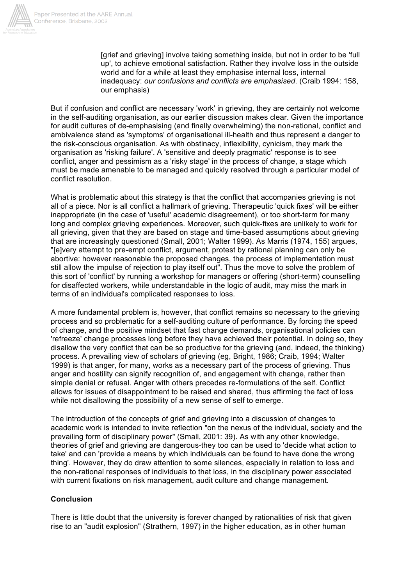

[grief and grieving] involve taking something inside, but not in order to be 'full up', to achieve emotional satisfaction. Rather they involve loss in the outside world and for a while at least they emphasise internal loss, internal inadequacy: *our confusions and conflicts are emphasised*. (Craib 1994: 158, our emphasis)

But if confusion and conflict are necessary 'work' in grieving, they are certainly not welcome in the self-auditing organisation, as our earlier discussion makes clear. Given the importance for audit cultures of de-emphasising (and finally overwhelming) the non-rational, conflict and ambivalence stand as 'symptoms' of organisational ill-health and thus represent a danger to the risk-conscious organisation. As with obstinacy, inflexibility, cynicism, they mark the organisation as 'risking failure'. A 'sensitive and deeply pragmatic' response is to see conflict, anger and pessimism as a 'risky stage' in the process of change, a stage which must be made amenable to be managed and quickly resolved through a particular model of conflict resolution.

What is problematic about this strategy is that the conflict that accompanies grieving is not all of a piece. Nor is all conflict a hallmark of grieving. Therapeutic 'quick fixes' will be either inappropriate (in the case of 'useful' academic disagreement), or too short-term for many long and complex grieving experiences. Moreover, such quick-fixes are unlikely to work for all grieving, given that they are based on stage and time-based assumptions about grieving that are increasingly questioned (Small, 2001; Walter 1999). As Marris (1974, 155) argues, "[e]very attempt to pre-empt conflict, argument, protest by rational planning can only be abortive: however reasonable the proposed changes, the process of implementation must still allow the impulse of rejection to play itself out". Thus the move to solve the problem of this sort of 'conflict' by running a workshop for managers or offering (short-term) counselling for disaffected workers, while understandable in the logic of audit, may miss the mark in terms of an individual's complicated responses to loss.

A more fundamental problem is, however, that conflict remains so necessary to the grieving process and so problematic for a self-auditing culture of performance. By forcing the speed of change, and the positive mindset that fast change demands, organisational policies can 'refreeze' change processes long before they have achieved their potential. In doing so, they disallow the very conflict that can be so productive for the grieving (and, indeed, the thinking) process. A prevailing view of scholars of grieving (eg, Bright, 1986; Craib, 1994; Walter 1999) is that anger, for many, works as a necessary part of the process of grieving. Thus anger and hostility can signify recognition of, and engagement with change, rather than simple denial or refusal. Anger with others precedes re-formulations of the self. Conflict allows for issues of disappointment to be raised and shared, thus affirming the fact of loss while not disallowing the possibility of a new sense of self to emerge.

The introduction of the concepts of grief and grieving into a discussion of changes to academic work is intended to invite reflection "on the nexus of the individual, society and the prevailing form of disciplinary power" (Small, 2001: 39). As with any other knowledge, theories of grief and grieving are dangerous-they too can be used to 'decide what action to take' and can 'provide a means by which individuals can be found to have done the wrong thing'. However, they do draw attention to some silences, especially in relation to loss and the non-rational responses of individuals to that loss, in the disciplinary power associated with current fixations on risk management, audit culture and change management.

## **Conclusion**

There is little doubt that the university is forever changed by rationalities of risk that given rise to an "audit explosion" (Strathern, 1997) in the higher education, as in other human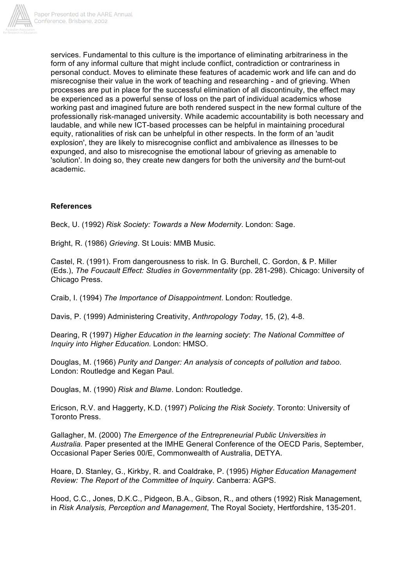

services. Fundamental to this culture is the importance of eliminating arbitrariness in the form of any informal culture that might include conflict, contradiction or contrariness in personal conduct. Moves to eliminate these features of academic work and life can and do misrecognise their value in the work of teaching and researching - and of grieving. When processes are put in place for the successful elimination of all discontinuity, the effect may be experienced as a powerful sense of loss on the part of individual academics whose working past and imagined future are both rendered suspect in the new formal culture of the professionally risk-managed university. While academic accountability is both necessary and laudable, and while new ICT-based processes can be helpful in maintaining procedural equity, rationalities of risk can be unhelpful in other respects. In the form of an 'audit explosion', they are likely to misrecognise conflict and ambivalence as illnesses to be expunged, and also to misrecognise the emotional labour of grieving as amenable to 'solution'. In doing so, they create new dangers for both the university *and* the burnt-out academic.

## **References**

Beck, U. (1992) *Risk Society: Towards a New Modernity*. London: Sage.

Bright, R. (1986) *Grieving*. St Louis: MMB Music.

Castel, R. (1991). From dangerousness to risk. In G. Burchell, C. Gordon, & P. Miller (Eds.), *The Foucault Effect: Studies in Governmentality* (pp. 281-298). Chicago: University of Chicago Press.

Craib, I. (1994) *The Importance of Disappointment*. London: Routledge.

Davis, P. (1999) Administering Creativity, *Anthropology Today*, 15, (2), 4-8.

Dearing, R (1997) *Higher Education in the learning society*: *The National Committee of Inquiry into Higher Education.* London: HMSO.

Douglas, M. (1966) *Purity and Danger: An analysis of concepts of pollution and taboo*. London: Routledge and Kegan Paul.

Douglas, M. (1990) *Risk and Blame*. London: Routledge.

Ericson, R.V. and Haggerty, K.D. (1997) *Policing the Risk Society*. Toronto: University of Toronto Press.

Gallagher, M. (2000) *The Emergence of the Entrepreneurial Public Universities in Australia.* Paper presented at the IMHE General Conference of the OECD Paris, September, Occasional Paper Series 00/E, Commonwealth of Australia, DETYA.

Hoare, D. Stanley, G., Kirkby, R. and Coaldrake, P. (1995) *Higher Education Management Review: The Report of the Committee of Inquiry*. Canberra: AGPS.

Hood, C.C., Jones, D.K.C., Pidgeon, B.A., Gibson, R., and others (1992) Risk Management, in *Risk Analysis, Perception and Management*, The Royal Society, Hertfordshire, 135-201.